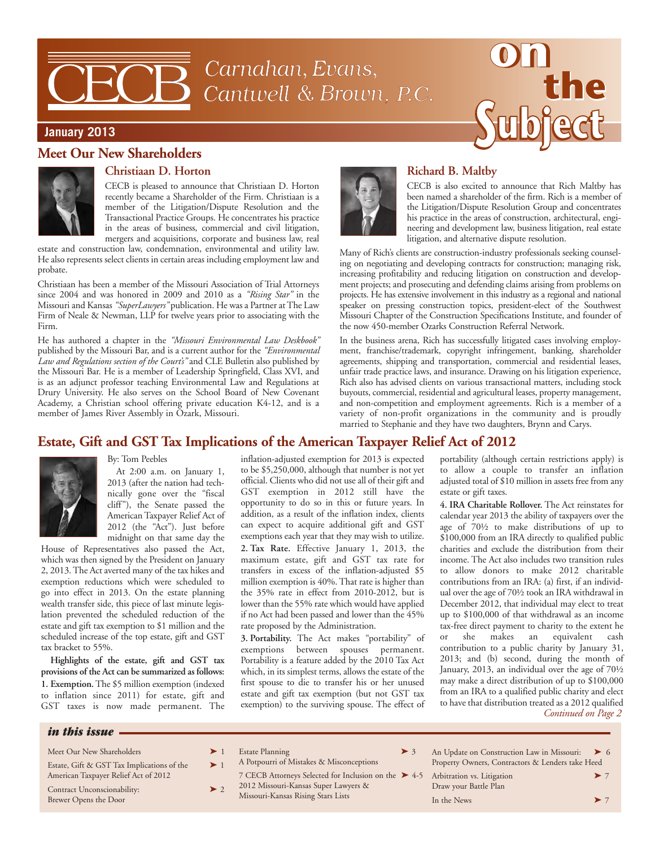# Carnahan, Evans, Cantwell & Brown, P.C.



## **January 2013**

## **Meet Our New Shareholders**



# **Christiaan D. Horton**

CECB is pleased to announce that Christiaan D. Horton recently became a Shareholder of the Firm. Christiaan is a member of the Litigation/Dispute Resolution and the Transactional Practice Groups. He concentrates his practice in the areas of business, commercial and civil litigation, mergers and acquisitions, corporate and business law, real

estate and construction law, condemnation, environmental and utility law. He also represents select clients in certain areas including employment law and probate.

Christiaan has been a member of the Missouri Association of Trial Attorneys since 2004 and was honored in 2009 and 2010 as a *"Rising Star"* in the Missouri and Kansas *"SuperLawyers"* publication. He was a Partner at The Law Firm of Neale & Newman, LLP for twelve years prior to associating with the Firm.

He has authored a chapter in the *"Missouri Environmental Law Deskbook"* published by the Missouri Bar, and is a current author for the *"Environmental Law and Regulations section of the Court's"* and CLE Bulletin also published by the Missouri Bar. He is a member of Leadership Springfield, Class XVI, and is as an adjunct professor teaching Environmental Law and Regulations at Drury University. He also serves on the School Board of New Covenant Academy, a Christian school offering private education K4-12, and is a member of James River Assembly in Ozark, Missouri.



## **Richard B. Maltby**

CECB is also excited to announce that Rich Maltby has been named a shareholder of the firm. Rich is a member of the Litigation/Dispute Resolution Group and concentrates his practice in the areas of construction, architectural, engineering and development law, business litigation, real estate litigation, and alternative dispute resolution.

Many of Rich's clients are construction-industry professionals seeking counseling on negotiating and developing contracts for construction; managing risk, increasing profitability and reducing litigation on construction and development projects; and prosecuting and defending claims arising from problems on projects. He has extensive involvement in this industry as a regional and national speaker on pressing construction topics, president-elect of the Southwest Missouri Chapter of the Construction Specifications Institute, and founder of the now 450-member Ozarks Construction Referral Network.

In the business arena, Rich has successfully litigated cases involving employment, franchise/trademark, copyright infringement, banking, shareholder agreements, shipping and transportation, commercial and residential leases, unfair trade practice laws, and insurance. Drawing on his litigation experience, Rich also has advised clients on various transactional matters, including stock buyouts, commercial, residential and agricultural leases, property management, and non-competition and employment agreements. Rich is a member of a variety of non-profit organizations in the community and is proudly married to Stephanie and they have two daughters, Brynn and Carys.

# **Estate, Gift and GST Tax Implications of the American Taxpayer Relief Act of 2012**



#### By: Tom Peebles

At 2:00 a.m. on January 1, 2013 (after the nation had technically gone over the "fiscal cliff"), the Senate passed the American Taxpayer Relief Act of 2012 (the "Act"). Just before midnight on that same day the

House of Representatives also passed the Act, which was then signed by the President on January 2, 2013. The Act averted many of the tax hikes and exemption reductions which were scheduled to go into effect in 2013. On the estate planning wealth transfer side, this piece of last minute legislation prevented the scheduled reduction of the estate and gift tax exemption to \$1 million and the scheduled increase of the top estate, gift and GST tax bracket to 55%.

**Highlights of the estate, gift and GST tax provisions of the Act can be summarized as follows: 1. Exemption.**The \$5 million exemption (indexed to inflation since 2011) for estate, gift and GST taxes is now made permanent. The

inflation-adjusted exemption for 2013 is expected to be \$5,250,000, although that number is not yet official. Clients who did not use all of their gift and GST exemption in 2012 still have the opportunity to do so in this or future years. In addition, as a result of the inflation index, clients can expect to acquire additional gift and GST exemptions each year that they may wish to utilize.

**2. Tax Rate.** Effective January 1, 2013, the maximum estate, gift and GST tax rate for transfers in excess of the inflation-adjusted \$5 million exemption is 40%. That rate is higher than the 35% rate in effect from 2010-2012, but is lower than the 55% rate which would have applied if no Act had been passed and lower than the 45% rate proposed by the Administration.

**3. Portability.** The Act makes "portability" of exemptions between spouses permanent. Portability is a feature added by the 2010 Tax Act which, in its simplest terms, allows the estate of the first spouse to die to transfer his or her unused estate and gift tax exemption (but not GST tax exemption) to the surviving spouse. The effect of portability (although certain restrictions apply) is to allow a couple to transfer an inflation adjusted total of \$10 million in assets free from any estate or gift taxes.

**4. IRA Charitable Rollover.** The Act reinstates for calendar year 2013 the ability of taxpayers over the age of 70½ to make distributions of up to \$100,000 from an IRA directly to qualified public charities and exclude the distribution from their income. The Act also includes two transition rules to allow donors to make 2012 charitable contributions from an IRA: (a) first, if an individual over the age of 70½ took an IRA withdrawal in December 2012, that individual may elect to treat up to \$100,000 of that withdrawal as an income tax-free direct payment to charity to the extent he<br>or she makes an equivalent cash she makes an equivalent cash contribution to a public charity by January 31, 2013; and (b) second, during the month of January, 2013, an individual over the age of 70½ may make a direct distribution of up to \$100,000 from an IRA to a qualified public charity and elect to have that distribution treated as a 2012 qualified *Continued on Page 2*

#### *in this issue*

| Meet Our New Shareholders                                                          | $\geq 1$ | Estate          |
|------------------------------------------------------------------------------------|----------|-----------------|
| Estate, Gift & GST Tax Implications of the<br>American Taxpayer Relief Act of 2012 | $\geq 1$ | A Potp<br>7 CEC |
| Contract Unconscionability:<br>Brewer Opens the Door                               | $\geq 2$ | 20121<br>Missou |

- Planning  $\rightarrow$  3
	- ourri of Mistakes & Misconceptions
- $2B$  Attorneys Selected for Inclusion on the  $\blacktriangleright$  4-5 2012 Missouri-Kansas Super Lawyers & Iri-Kansas Rising Stars Lists
- An Update on Construction Law in Missouri:  $\triangleright$  6 Property Owners, Contractors & Lenders take Heed
	- Arbitration vs. Litigation  $\blacktriangleright$  7 Draw your Battle Plan In the News  $\triangleright$  7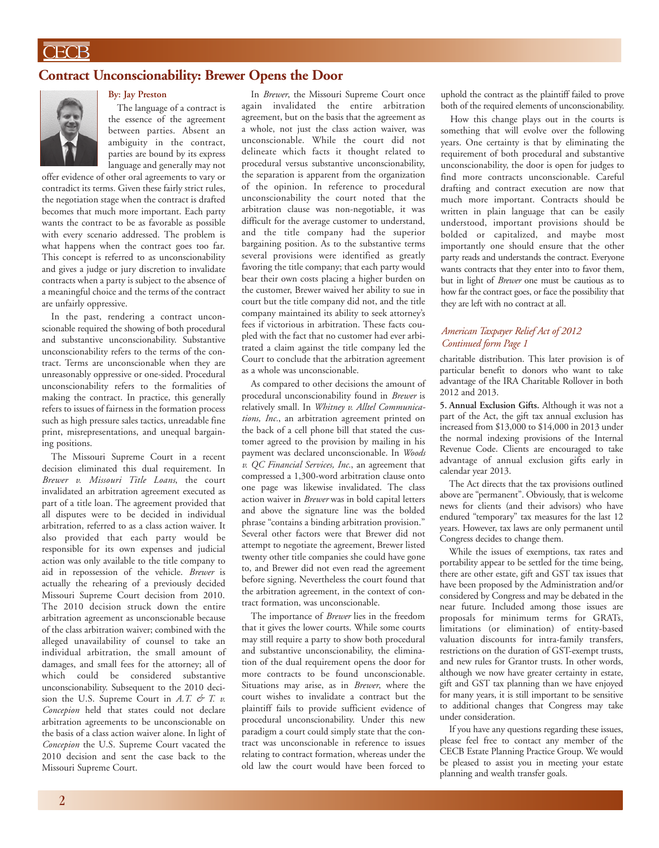## **Contract Unconscionability: Brewer Opens the Door**



**By: Jay Preston**

The language of a contract is the essence of the agreement between parties. Absent an ambiguity in the contract, parties are bound by its express language and generally may not

offer evidence of other oral agreements to vary or contradict its terms. Given these fairly strict rules, the negotiation stage when the contract is drafted becomes that much more important. Each party wants the contract to be as favorable as possible with every scenario addressed. The problem is what happens when the contract goes too far. This concept is referred to as unconscionability and gives a judge or jury discretion to invalidate contracts when a party is subject to the absence of a meaningful choice and the terms of the contract are unfairly oppressive.

In the past, rendering a contract unconscionable required the showing of both procedural and substantive unconscionability. Substantive unconscionability refers to the terms of the contract. Terms are unconscionable when they are unreasonably oppressive or one-sided. Procedural unconscionability refers to the formalities of making the contract. In practice, this generally refers to issues of fairness in the formation process such as high pressure sales tactics, unreadable fine print, misrepresentations, and unequal bargaining positions.

The Missouri Supreme Court in a recent decision eliminated this dual requirement. In *Brewer v. Missouri Title Loans*, the court invalidated an arbitration agreement executed as part of a title loan. The agreement provided that all disputes were to be decided in individual arbitration, referred to as a class action waiver. It also provided that each party would be responsible for its own expenses and judicial action was only available to the title company to aid in repossession of the vehicle. *Brewer* is actually the rehearing of a previously decided Missouri Supreme Court decision from 2010. The 2010 decision struck down the entire arbitration agreement as unconscionable because of the class arbitration waiver; combined with the alleged unavailability of counsel to take an individual arbitration, the small amount of damages, and small fees for the attorney; all of which could be considered substantive unconscionability. Subsequent to the 2010 decision the U.S. Supreme Court in *A.T. & T. v. Concepion* held that states could not declare arbitration agreements to be unconscionable on the basis of a class action waiver alone. In light of *Concepion* the U.S. Supreme Court vacated the 2010 decision and sent the case back to the Missouri Supreme Court.

In *Brewer*, the Missouri Supreme Court once again invalidated the entire arbitration agreement, but on the basis that the agreement as a whole, not just the class action waiver, was unconscionable. While the court did not delineate which facts it thought related to procedural versus substantive unconscionability, the separation is apparent from the organization of the opinion. In reference to procedural unconscionability the court noted that the arbitration clause was non-negotiable, it was difficult for the average customer to understand, and the title company had the superior bargaining position. As to the substantive terms several provisions were identified as greatly favoring the title company; that each party would bear their own costs placing a higher burden on the customer, Brewer waived her ability to sue in court but the title company did not, and the title company maintained its ability to seek attorney's fees if victorious in arbitration. These facts coupled with the fact that no customer had ever arbitrated a claim against the title company led the Court to conclude that the arbitration agreement as a whole was unconscionable.

As compared to other decisions the amount of procedural unconscionability found in *Brewer* is relatively small. In *Whitney v. Alltel Communications, Inc.*, an arbitration agreement printed on the back of a cell phone bill that stated the customer agreed to the provision by mailing in his payment was declared unconscionable. In *Woods v. QC Financial Services, Inc.*, an agreement that compressed a 1,300-word arbitration clause onto one page was likewise invalidated. The class action waiver in *Brewer* was in bold capital letters and above the signature line was the bolded phrase "contains a binding arbitration provision." Several other factors were that Brewer did not attempt to negotiate the agreement, Brewer listed twenty other title companies she could have gone to, and Brewer did not even read the agreement before signing. Nevertheless the court found that the arbitration agreement, in the context of contract formation, was unconscionable.

The importance of *Brewer* lies in the freedom that it gives the lower courts. While some courts may still require a party to show both procedural and substantive unconscionability, the elimination of the dual requirement opens the door for more contracts to be found unconscionable. Situations may arise, as in *Brewer*, where the court wishes to invalidate a contract but the plaintiff fails to provide sufficient evidence of procedural unconscionability. Under this new paradigm a court could simply state that the contract was unconscionable in reference to issues relating to contract formation, whereas under the old law the court would have been forced to

uphold the contract as the plaintiff failed to prove both of the required elements of unconscionability.

How this change plays out in the courts is something that will evolve over the following years. One certainty is that by eliminating the requirement of both procedural and substantive unconscionability, the door is open for judges to find more contracts unconscionable. Careful drafting and contract execution are now that much more important. Contracts should be written in plain language that can be easily understood, important provisions should be bolded or capitalized, and maybe most importantly one should ensure that the other party reads and understands the contract. Everyone wants contracts that they enter into to favor them, but in light of *Brewer* one must be cautious as to how far the contract goes, or face the possibility that they are left with no contract at all.

#### *American Taxpayer Relief Act of 2012 Continued form Page 1*

charitable distribution. This later provision is of particular benefit to donors who want to take advantage of the IRA Charitable Rollover in both 2012 and 2013.

**5. Annual Exclusion Gifts.** Although it was not a part of the Act, the gift tax annual exclusion has increased from \$13,000 to \$14,000 in 2013 under the normal indexing provisions of the Internal Revenue Code. Clients are encouraged to take advantage of annual exclusion gifts early in calendar year 2013.

The Act directs that the tax provisions outlined above are "permanent". Obviously, that is welcome news for clients (and their advisors) who have endured "temporary" tax measures for the last 12 years. However, tax laws are only permanent until Congress decides to change them.

While the issues of exemptions, tax rates and portability appear to be settled for the time being, there are other estate, gift and GST tax issues that have been proposed by the Administration and/or considered by Congress and may be debated in the near future. Included among those issues are proposals for minimum terms for GRATs, limitations (or elimination) of entity-based valuation discounts for intra-family transfers, restrictions on the duration of GST-exempt trusts, and new rules for Grantor trusts. In other words, although we now have greater certainty in estate, gift and GST tax planning than we have enjoyed for many years, it is still important to be sensitive to additional changes that Congress may take under consideration.

If you have any questions regarding these issues, please feel free to contact any member of the CECB Estate Planning Practice Group. We would be pleased to assist you in meeting your estate planning and wealth transfer goals.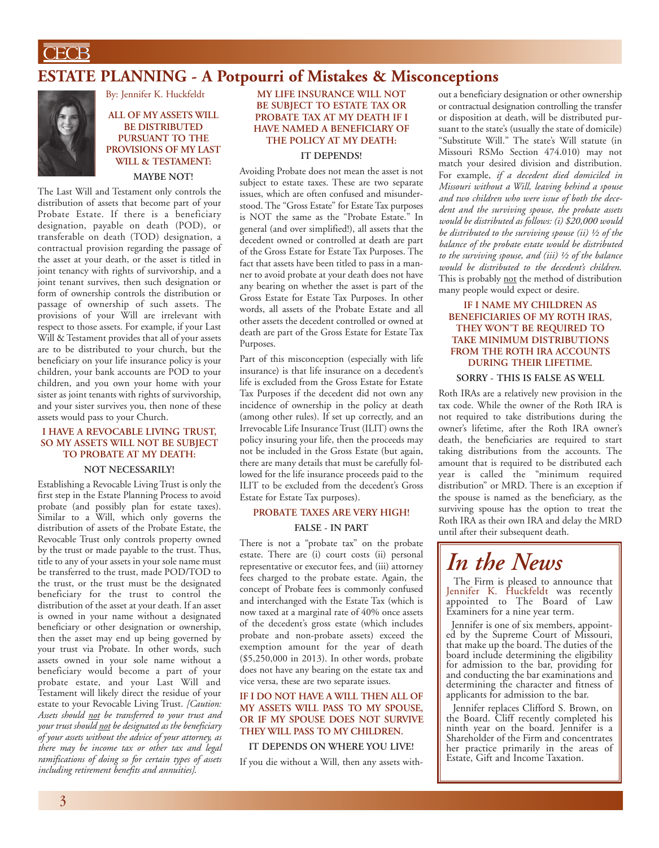$\overline{\overline{\text{CECB}}}$ 

# **ESTATE PLANNING - A Potpourri of Mistakes & Misconceptions**



By: Jennifer K. Huckfeldt

#### **ALL OF MY ASSETS WILL BE DISTRIBUTED PURSUANT TO THE PROVISIONS OF MY LAST WILL & TESTAMENT: MAYBE NOT!**

The Last Will and Testament only controls the distribution of assets that become part of your Probate Estate. If there is a beneficiary designation, payable on death (POD), or transferable on death (TOD) designation, a contractual provision regarding the passage of the asset at your death, or the asset is titled in joint tenancy with rights of survivorship, and a joint tenant survives, then such designation or form of ownership controls the distribution or passage of ownership of such assets. The provisions of your Will are irrelevant with respect to those assets. For example, if your Last Will & Testament provides that all of your assets are to be distributed to your church, but the beneficiary on your life insurance policy is your children, your bank accounts are POD to your children, and you own your home with your sister as joint tenants with rights of survivorship, and your sister survives you, then none of these assets would pass to your Church.

#### **I HAVE A REVOCABLE LIVING TRUST, SO MY ASSETS WILL NOT BE SUBJECT TO PROBATE AT MY DEATH:**

#### **NOT NECESSARILY!**

Establishing a Revocable Living Trust is only the first step in the Estate Planning Process to avoid probate (and possibly plan for estate taxes). Similar to a Will, which only governs the distribution of assets of the Probate Estate, the Revocable Trust only controls property owned by the trust or made payable to the trust. Thus, title to any of your assets in your sole name must be transferred to the trust, made POD/TOD to the trust, or the trust must be the designated beneficiary for the trust to control the distribution of the asset at your death. If an asset is owned in your name without a designated beneficiary or other designation or ownership, then the asset may end up being governed by your trust via Probate. In other words, such assets owned in your sole name without a beneficiary would become a part of your probate estate, and your Last Will and Testament will likely direct the residue of your estate to your Revocable Living Trust. *[Caution: Assets should not be transferred to your trust and your trust should not be designated as the beneficiary of your assets without the advice of your attorney, as there may be income tax or other tax and legal ramifications of doing so for certain types of assets including retirement benefits and annuities]*.

### **MY LIFE INSURANCE WILL NOT BE SUBJECT TO ESTATE TAX OR PROBATE TAX AT MY DEATH IF I HAVE NAMED A BENEFICIARY OF THE POLICY AT MY DEATH:**

#### **IT DEPENDS!**

Avoiding Probate does not mean the asset is not subject to estate taxes. These are two separate issues, which are often confused and misunderstood. The "Gross Estate" for Estate Tax purposes is NOT the same as the "Probate Estate." In general (and over simplified!), all assets that the decedent owned or controlled at death are part of the Gross Estate for Estate Tax Purposes. The fact that assets have been titled to pass in a manner to avoid probate at your death does not have any bearing on whether the asset is part of the Gross Estate for Estate Tax Purposes. In other words, all assets of the Probate Estate and all other assets the decedent controlled or owned at death are part of the Gross Estate for Estate Tax Purposes.

Part of this misconception (especially with life insurance) is that life insurance on a decedent's life is excluded from the Gross Estate for Estate Tax Purposes if the decedent did not own any incidence of ownership in the policy at death (among other rules). If set up correctly, and an Irrevocable Life Insurance Trust (ILIT) owns the policy insuring your life, then the proceeds may not be included in the Gross Estate (but again, there are many details that must be carefully followed for the life insurance proceeds paid to the ILIT to be excluded from the decedent's Gross Estate for Estate Tax purposes).

#### **PROBATE TAXES ARE VERY HIGH!**

#### **FALSE - IN PART**

There is not a "probate tax" on the probate estate. There are (i) court costs (ii) personal representative or executor fees, and (iii) attorney fees charged to the probate estate. Again, the concept of Probate fees is commonly confused and interchanged with the Estate Tax (which is now taxed at a marginal rate of 40% once assets of the decedent's gross estate (which includes probate and non-probate assets) exceed the exemption amount for the year of death (\$5,250,000 in 2013). In other words, probate does not have any bearing on the estate tax and vice versa, these are two separate issues.

#### **IF I DO NOT HAVE A WILL THEN ALL OF MY ASSETS WILL PASS TO MY SPOUSE, OR IF MY SPOUSE DOES NOT SURVIVE THEY WILL PASS TO MY CHILDREN.**

#### **IT DEPENDS ON WHERE YOU LIVE!**

If you die without a Will, then any assets with-

out a beneficiary designation or other ownership or contractual designation controlling the transfer or disposition at death, will be distributed pursuant to the state's (usually the state of domicile) "Substitute Will." The state's Will statute (in Missouri RSMo Section 474.010) may not match your desired division and distribution. For example, *if a decedent died domiciled in Missouri without a Will, leaving behind a spouse and two children who were issue of both the decedent and the surviving spouse, the probate assets would be distributed as follows: (i) \$20,000 would be distributed to the surviving spouse (ii) ½ of the balance of the probate estate would be distributed to the surviving spouse, and (iii) ½ of the balance would be distributed to the decedent's children*. This is probably not the method of distribution many people would expect or desire.

#### **IF I NAME MY CHILDREN AS BENEFICIARIES OF MY ROTH IRAS, THEY WON'T BE REQUIRED TO TAKE MINIMUM DISTRIBUTIONS FROM THE ROTH IRA ACCOUNTS DURING THEIR LIFETIME.**

#### **SORRY - THIS IS FALSE AS WELL**

Roth IRAs are a relatively new provision in the tax code. While the owner of the Roth IRA is not required to take distributions during the owner's lifetime, after the Roth IRA owner's death, the beneficiaries are required to start taking distributions from the accounts. The amount that is required to be distributed each year is called the "minimum required distribution" or MRD. There is an exception if the spouse is named as the beneficiary, as the surviving spouse has the option to treat the Roth IRA as their own IRA and delay the MRD until after their subsequent death.

# *In the News*

The Firm is pleased to announce that<br>Jennifer K. Huckfeldt was recently appointed to The Board of Law Examiners for a nine year term.

Jennifer is one of six members, appointed by the Supreme Court of Missouri, that make up the board. The duties of the board include determining the eligibility for admission to the bar, providing for and conducting the bar examinations and determining the character and fitness of applicants for admission to the bar.

Jennifer replaces Clifford S. Brown, on the Board. Cliff recently completed his ninth year on the board. Jennifer is a Shareholder of the Firm and concentrates her practice primarily in the areas of Estate, Gift and Income Taxation.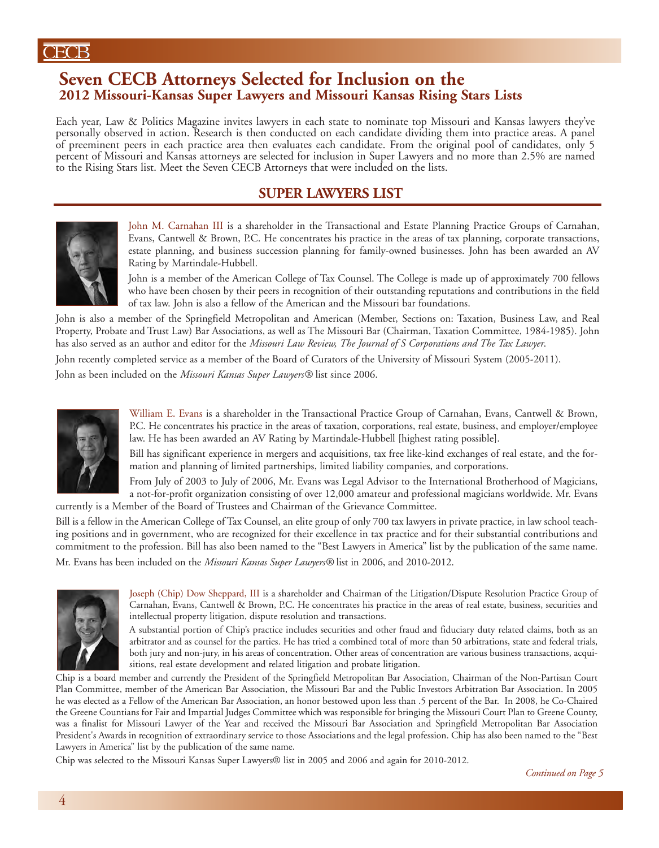# **Seven CECB Attorneys Selected for Inclusion on the 2012 Missouri-Kansas Super Lawyers and Missouri Kansas Rising Stars Lists**

Each year, Law & Politics Magazine invites lawyers in each state to nominate top Missouri and Kansas lawyers they've personally observed in action. Research is then conducted on each candidate dividing them into practice areas. A panel of preeminent peers in each practice area then evaluates each candidate. From the original pool of candidates, only 5 percent of Missouri and Kansas attorneys are selected for inclusion in Super Lawyers and no more than 2.5% are named to the Rising Stars list. Meet the Seven CECB Attorneys that were included on the lists.

# **SUPER LAWYERS LIST**



John M. Carnahan III is a shareholder in the Transactional and Estate Planning Practice Groups of Carnahan, Evans, Cantwell & Brown, P.C. He concentrates his practice in the areas of tax planning, corporate transactions, estate planning, and business succession planning for family-owned businesses. John has been awarded an AV Rating by Martindale-Hubbell.

John is a member of the American College of Tax Counsel. The College is made up of approximately 700 fellows who have been chosen by their peers in recognition of their outstanding reputations and contributions in the field of tax law. John is also a fellow of the American and the Missouri bar foundations.

John is also a member of the Springfield Metropolitan and American (Member, Sections on: Taxation, Business Law, and Real Property, Probate and Trust Law) Bar Associations, as well as The Missouri Bar (Chairman, Taxation Committee, 1984-1985). John has also served as an author and editor for the *Missouri Law Review, The Journal of S Corporations and The Tax Lawyer*.

John recently completed service as a member of the Board of Curators of the University of Missouri System (2005-2011). John as been included on the *Missouri Kansas Super Lawyers®* list since 2006.



William E. Evans is a shareholder in the Transactional Practice Group of Carnahan, Evans, Cantwell & Brown, P.C. He concentrates his practice in the areas of taxation, corporations, real estate, business, and employer/employee law. He has been awarded an AV Rating by Martindale-Hubbell [highest rating possible].

Bill has significant experience in mergers and acquisitions, tax free like-kind exchanges of real estate, and the formation and planning of limited partnerships, limited liability companies, and corporations.

From July of 2003 to July of 2006, Mr. Evans was Legal Advisor to the International Brotherhood of Magicians, a not-for-profit organization consisting of over 12,000 amateur and professional magicians worldwide. Mr. Evans currently is a Member of the Board of Trustees and Chairman of the Grievance Committee.

Bill is a fellow in the American College of Tax Counsel, an elite group of only 700 tax lawyers in private practice, in law school teaching positions and in government, who are recognized for their excellence in tax practice and for their substantial contributions and commitment to the profession. Bill has also been named to the "Best Lawyers in America" list by the publication of the same name.

Mr. Evans has been included on the *Missouri Kansas Super Lawyers®* list in 2006, and 2010-2012.



Joseph (Chip) Dow Sheppard, III is a shareholder and Chairman of the Litigation/Dispute Resolution Practice Group of Carnahan, Evans, Cantwell & Brown, P.C. He concentrates his practice in the areas of real estate, business, securities and intellectual property litigation, dispute resolution and transactions.

A substantial portion of Chip's practice includes securities and other fraud and fiduciary duty related claims, both as an arbitrator and as counsel for the parties. He has tried a combined total of more than 50 arbitrations, state and federal trials, both jury and non-jury, in his areas of concentration. Other areas of concentration are various business transactions, acquisitions, real estate development and related litigation and probate litigation.

Chip is a board member and currently the President of the Springfield Metropolitan Bar Association, Chairman of the Non-Partisan Court Plan Committee, member of the American Bar Association, the Missouri Bar and the Public Investors Arbitration Bar Association. In 2005 he was elected as a Fellow of the American Bar Association, an honor bestowed upon less than .5 percent of the Bar. In 2008, he Co-Chaired the Greene Countians for Fair and Impartial Judges Committee which was responsible for bringing the Missouri Court Plan to Greene County, was a finalist for Missouri Lawyer of the Year and received the Missouri Bar Association and Springfield Metropolitan Bar Association President's Awards in recognition of extraordinary service to those Associations and the legal profession. Chip has also been named to the "Best Lawyers in America" list by the publication of the same name.

Chip was selected to the Missouri Kansas Super Lawyers® list in 2005 and 2006 and again for 2010-2012.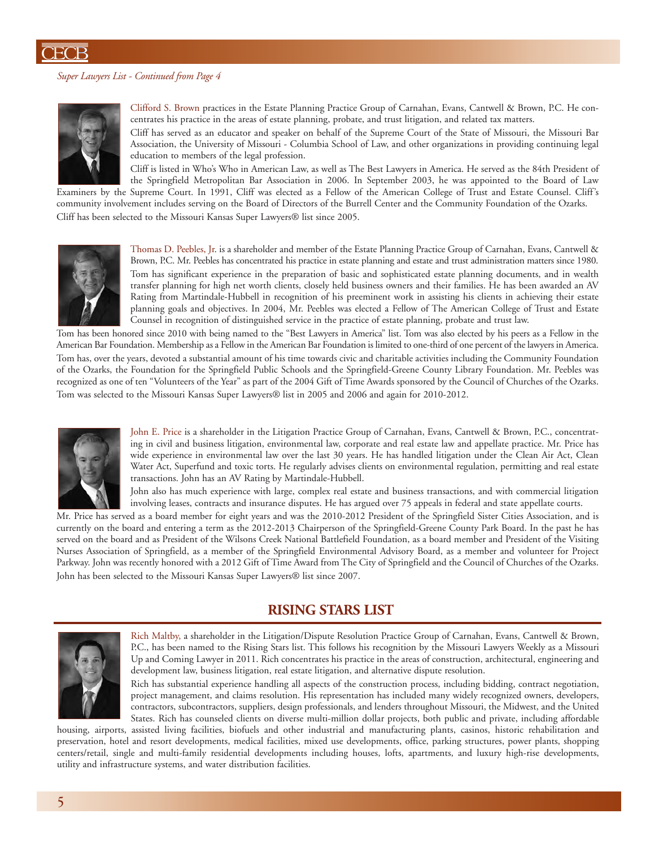#### *Super Lawyers List - Continued from Page 4*



Clifford S. Brown practices in the Estate Planning Practice Group of Carnahan, Evans, Cantwell & Brown, P.C. He concentrates his practice in the areas of estate planning, probate, and trust litigation, and related tax matters.

Cliff has served as an educator and speaker on behalf of the Supreme Court of the State of Missouri, the Missouri Bar Association, the University of Missouri - Columbia School of Law, and other organizations in providing continuing legal education to members of the legal profession.

Cliff is listed in Who's Who in American Law, as well as The Best Lawyers in America. He served as the 84th President of the Springfield Metropolitan Bar Association in 2006. In September 2003, he was appointed to the Board of Law

Examiners by the Supreme Court. In 1991, Cliff was elected as a Fellow of the American College of Trust and Estate Counsel. Cliff's community involvement includes serving on the Board of Directors of the Burrell Center and the Community Foundation of the Ozarks. Cliff has been selected to the Missouri Kansas Super Lawyers® list since 2005.



Thomas D. Peebles, Jr. is a shareholder and member of the Estate Planning Practice Group of Carnahan, Evans, Cantwell & Brown, P.C. Mr. Peebles has concentrated his practice in estate planning and estate and trust administration matters since 1980. Tom has significant experience in the preparation of basic and sophisticated estate planning documents, and in wealth transfer planning for high net worth clients, closely held business owners and their families. He has been awarded an AV Rating from Martindale-Hubbell in recognition of his preeminent work in assisting his clients in achieving their estate planning goals and objectives. In 2004, Mr. Peebles was elected a Fellow of The American College of Trust and Estate Counsel in recognition of distinguished service in the practice of estate planning, probate and trust law.

Tom has been honored since 2010 with being named to the "Best Lawyers in America" list. Tom was also elected by his peers as a Fellow in the American Bar Foundation. Membership as a Fellow in the American Bar Foundation is limited to one-third of one percent of the lawyers in America. Tom has, over the years, devoted a substantial amount of his time towards civic and charitable activities including the Community Foundation of the Ozarks, the Foundation for the Springfield Public Schools and the Springfield-Greene County Library Foundation. Mr. Peebles was recognized as one of ten "Volunteers of the Year" as part of the 2004 Gift of Time Awards sponsored by the Council of Churches of the Ozarks. Tom was selected to the Missouri Kansas Super Lawyers® list in 2005 and 2006 and again for 2010-2012.



John E. Price is a shareholder in the Litigation Practice Group of Carnahan, Evans, Cantwell & Brown, P.C., concentrating in civil and business litigation, environmental law, corporate and real estate law and appellate practice. Mr. Price has wide experience in environmental law over the last 30 years. He has handled litigation under the Clean Air Act, Clean Water Act, Superfund and toxic torts. He regularly advises clients on environmental regulation, permitting and real estate transactions. John has an AV Rating by Martindale-Hubbell.

John also has much experience with large, complex real estate and business transactions, and with commercial litigation involving leases, contracts and insurance disputes. He has argued over 75 appeals in federal and state appellate courts.

Mr. Price has served as a board member for eight years and was the 2010-2012 President of the Springfield Sister Cities Association, and is currently on the board and entering a term as the 2012-2013 Chairperson of the Springfield-Greene County Park Board. In the past he has served on the board and as President of the Wilsons Creek National Battlefield Foundation, as a board member and President of the Visiting Nurses Association of Springfield, as a member of the Springfield Environmental Advisory Board, as a member and volunteer for Project Parkway. John was recently honored with a 2012 Gift of Time Award from The City of Springfield and the Council of Churches of the Ozarks. John has been selected to the Missouri Kansas Super Lawyers® list since 2007.

## **RISING STARS LIST**



Rich Maltby, a shareholder in the Litigation/Dispute Resolution Practice Group of Carnahan, Evans, Cantwell & Brown, P.C., has been named to the Rising Stars list. This follows his recognition by the Missouri Lawyers Weekly as a Missouri Up and Coming Lawyer in 2011. Rich concentrates his practice in the areas of construction, architectural, engineering and development law, business litigation, real estate litigation, and alternative dispute resolution.

Rich has substantial experience handling all aspects of the construction process, including bidding, contract negotiation, project management, and claims resolution. His representation has included many widely recognized owners, developers, contractors, subcontractors, suppliers, design professionals, and lenders throughout Missouri, the Midwest, and the United States. Rich has counseled clients on diverse multi-million dollar projects, both public and private, including affordable

housing, airports, assisted living facilities, biofuels and other industrial and manufacturing plants, casinos, historic rehabilitation and preservation, hotel and resort developments, medical facilities, mixed use developments, office, parking structures, power plants, shopping centers/retail, single and multi-family residential developments including houses, lofts, apartments, and luxury high-rise developments, utility and infrastructure systems, and water distribution facilities.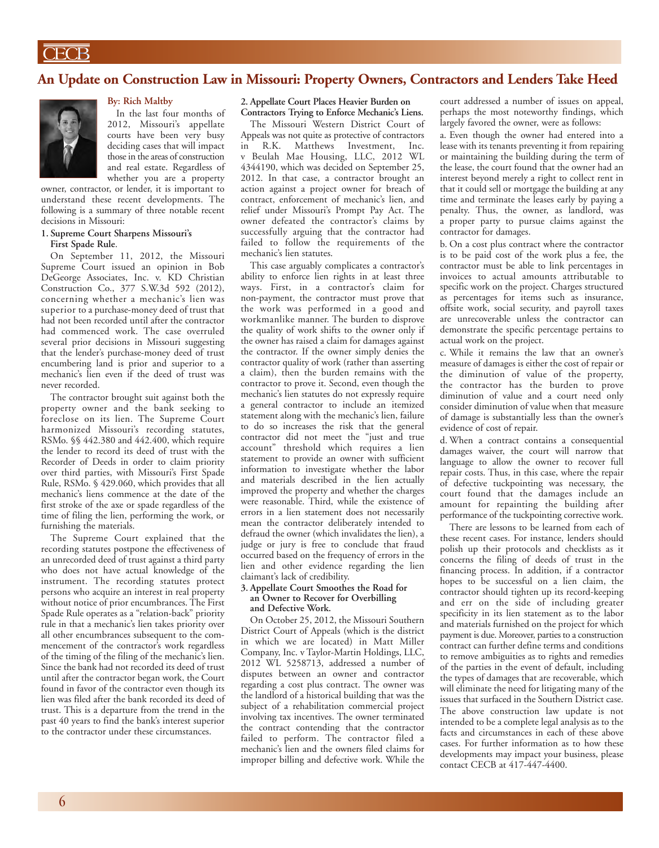## **An Update on Construction Law in Missouri: Property Owners, Contractors and Lenders Take Heed**



### **By: Rich Maltby**

In the last four months of 2012, Missouri's appellate courts have been very busy deciding cases that will impact those in the areas of construction and real estate. Regardless of whether you are a property

owner, contractor, or lender, it is important to understand these recent developments. The following is a summary of three notable recent decisions in Missouri:

#### **1. Supreme Court Sharpens Missouri's First Spade Rule**.

On September 11, 2012, the Missouri Supreme Court issued an opinion in Bob DeGeorge Associates, Inc. v. KD Christian Construction Co., 377 S.W.3d 592 (2012), concerning whether a mechanic's lien was superior to a purchase-money deed of trust that had not been recorded until after the contractor had commenced work. The case overruled several prior decisions in Missouri suggesting that the lender's purchase-money deed of trust encumbering land is prior and superior to a mechanic's lien even if the deed of trust was never recorded.

The contractor brought suit against both the property owner and the bank seeking to foreclose on its lien. The Supreme Court harmonized Missouri's recording statutes, RSMo. §§ 442.380 and 442.400, which require the lender to record its deed of trust with the Recorder of Deeds in order to claim priority over third parties, with Missouri's First Spade Rule, RSMo. § 429.060, which provides that all mechanic's liens commence at the date of the first stroke of the axe or spade regardless of the time of filing the lien, performing the work, or furnishing the materials.

The Supreme Court explained that the recording statutes postpone the effectiveness of an unrecorded deed of trust against a third party who does not have actual knowledge of the instrument. The recording statutes protect persons who acquire an interest in real property without notice of prior encumbrances. The First Spade Rule operates as a "relation-back" priority rule in that a mechanic's lien takes priority over all other encumbrances subsequent to the commencement of the contractor's work regardless of the timing of the filing of the mechanic's lien. Since the bank had not recorded its deed of trust until after the contractor began work, the Court found in favor of the contractor even though its lien was filed after the bank recorded its deed of trust. This is a departure from the trend in the past 40 years to find the bank's interest superior to the contractor under these circumstances.

#### **2. Appellate Court Places Heavier Burden on Contractors Trying to Enforce Mechanic's Liens.**

The Missouri Western District Court of Appeals was not quite as protective of contractors in R.K. Matthews Investment, Inc. v Beulah Mae Housing, LLC, 2012 WL 4344190, which was decided on September 25, 2012. In that case, a contractor brought an action against a project owner for breach of contract, enforcement of mechanic's lien, and relief under Missouri's Prompt Pay Act. The owner defeated the contractor's claims by successfully arguing that the contractor had failed to follow the requirements of the mechanic's lien statutes.

This case arguably complicates a contractor's ability to enforce lien rights in at least three ways. First, in a contractor's claim for non-payment, the contractor must prove that the work was performed in a good and workmanlike manner. The burden to disprove the quality of work shifts to the owner only if the owner has raised a claim for damages against the contractor. If the owner simply denies the contractor quality of work (rather than asserting a claim), then the burden remains with the contractor to prove it. Second, even though the mechanic's lien statutes do not expressly require a general contractor to include an itemized statement along with the mechanic's lien, failure to do so increases the risk that the general contractor did not meet the "just and true account" threshold which requires a lien statement to provide an owner with sufficient information to investigate whether the labor and materials described in the lien actually improved the property and whether the charges were reasonable. Third, while the existence of errors in a lien statement does not necessarily mean the contractor deliberately intended to defraud the owner (which invalidates the lien), a judge or jury is free to conclude that fraud occurred based on the frequency of errors in the lien and other evidence regarding the lien claimant's lack of credibility.

#### **3. Appellate Court Smoothes the Road for an Owner to Recover for Overbilling and Defective Work.**

On October 25, 2012, the Missouri Southern District Court of Appeals (which is the district in which we are located) in Matt Miller Company, Inc. v Taylor-Martin Holdings, LLC, 2012 WL 5258713, addressed a number of disputes between an owner and contractor regarding a cost plus contract. The owner was the landlord of a historical building that was the subject of a rehabilitation commercial project involving tax incentives. The owner terminated the contract contending that the contractor failed to perform. The contractor filed a mechanic's lien and the owners filed claims for improper billing and defective work. While the court addressed a number of issues on appeal, perhaps the most noteworthy findings, which largely favored the owner, were as follows:

a. Even though the owner had entered into a lease with its tenants preventing it from repairing or maintaining the building during the term of the lease, the court found that the owner had an interest beyond merely a right to collect rent in that it could sell or mortgage the building at any time and terminate the leases early by paying a penalty. Thus, the owner, as landlord, was a proper party to pursue claims against the contractor for damages.

b. On a cost plus contract where the contractor is to be paid cost of the work plus a fee, the contractor must be able to link percentages in invoices to actual amounts attributable to specific work on the project. Charges structured as percentages for items such as insurance, offsite work, social security, and payroll taxes are unrecoverable unless the contractor can demonstrate the specific percentage pertains to actual work on the project.

c. While it remains the law that an owner's measure of damages is either the cost of repair or the diminution of value of the property, the contractor has the burden to prove diminution of value and a court need only consider diminution of value when that measure of damage is substantially less than the owner's evidence of cost of repair.

d. When a contract contains a consequential damages waiver, the court will narrow that language to allow the owner to recover full repair costs. Thus, in this case, where the repair of defective tuckpointing was necessary, the court found that the damages include an amount for repainting the building after performance of the tuckpointing corrective work.

There are lessons to be learned from each of these recent cases. For instance, lenders should polish up their protocols and checklists as it concerns the filing of deeds of trust in the financing process. In addition, if a contractor hopes to be successful on a lien claim, the contractor should tighten up its record-keeping and err on the side of including greater specificity in its lien statement as to the labor and materials furnished on the project for which payment is due. Moreover, parties to a construction contract can further define terms and conditions to remove ambiguities as to rights and remedies of the parties in the event of default, including the types of damages that are recoverable, which will eliminate the need for litigating many of the issues that surfaced in the Southern District case. The above construction law update is not intended to be a complete legal analysis as to the facts and circumstances in each of these above cases. For further information as to how these developments may impact your business, please contact CECB at 417-447-4400.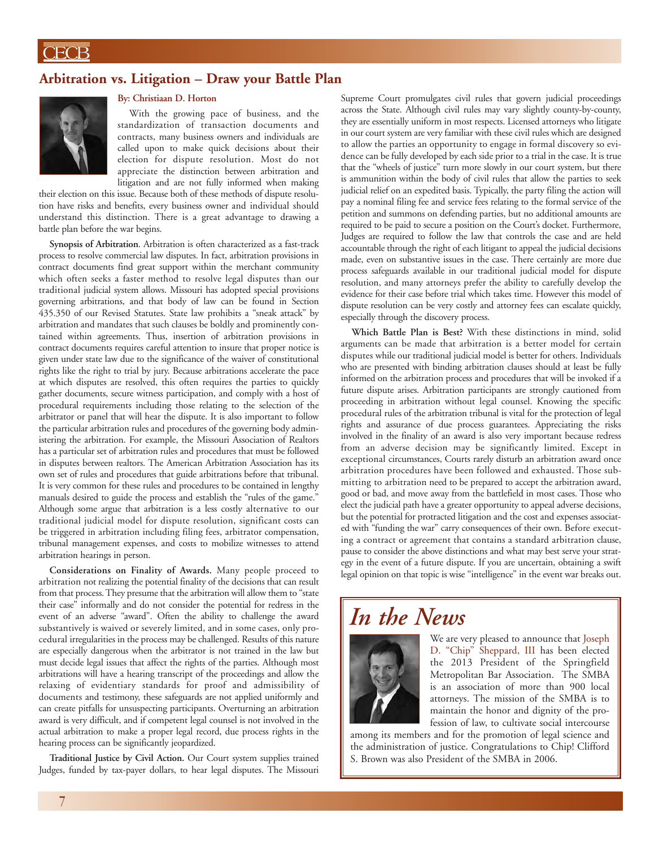## **Arbitration vs. Litigation – Draw your Battle Plan**



### **By: Christiaan D. Horton**

With the growing pace of business, and the standardization of transaction documents and contracts, many business owners and individuals are called upon to make quick decisions about their election for dispute resolution. Most do not appreciate the distinction between arbitration and litigation and are not fully informed when making

their election on this issue. Because both of these methods of dispute resolution have risks and benefits, every business owner and individual should understand this distinction. There is a great advantage to drawing a battle plan before the war begins.

**Synopsis of Arbitration**. Arbitration is often characterized as a fast-track process to resolve commercial law disputes. In fact, arbitration provisions in contract documents find great support within the merchant community which often seeks a faster method to resolve legal disputes than our traditional judicial system allows. Missouri has adopted special provisions governing arbitrations, and that body of law can be found in Section 435.350 of our Revised Statutes. State law prohibits a "sneak attack" by arbitration and mandates that such clauses be boldly and prominently contained within agreements. Thus, insertion of arbitration provisions in contract documents requires careful attention to insure that proper notice is given under state law due to the significance of the waiver of constitutional rights like the right to trial by jury. Because arbitrations accelerate the pace at which disputes are resolved, this often requires the parties to quickly gather documents, secure witness participation, and comply with a host of procedural requirements including those relating to the selection of the arbitrator or panel that will hear the dispute. It is also important to follow the particular arbitration rules and procedures of the governing body administering the arbitration. For example, the Missouri Association of Realtors has a particular set of arbitration rules and procedures that must be followed in disputes between realtors. The American Arbitration Association has its own set of rules and procedures that guide arbitrations before that tribunal. It is very common for these rules and procedures to be contained in lengthy manuals desired to guide the process and establish the "rules of the game." Although some argue that arbitration is a less costly alternative to our traditional judicial model for dispute resolution, significant costs can be triggered in arbitration including filing fees, arbitrator compensation, tribunal management expenses, and costs to mobilize witnesses to attend arbitration hearings in person.

**Considerations on Finality of Awards.** Many people proceed to arbitration not realizing the potential finality of the decisions that can result from that process. They presume that the arbitration will allow them to "state their case" informally and do not consider the potential for redress in the event of an adverse "award". Often the ability to challenge the award substantively is waived or severely limited, and in some cases, only procedural irregularities in the process may be challenged. Results of this nature are especially dangerous when the arbitrator is not trained in the law but must decide legal issues that affect the rights of the parties. Although most arbitrations will have a hearing transcript of the proceedings and allow the relaxing of evidentiary standards for proof and admissibility of documents and testimony, these safeguards are not applied uniformly and can create pitfalls for unsuspecting participants. Overturning an arbitration award is very difficult, and if competent legal counsel is not involved in the actual arbitration to make a proper legal record, due process rights in the hearing process can be significantly jeopardized.

**Traditional Justice by Civil Action.** Our Court system supplies trained Judges, funded by tax-payer dollars, to hear legal disputes. The Missouri Supreme Court promulgates civil rules that govern judicial proceedings across the State. Although civil rules may vary slightly county-by-county, they are essentially uniform in most respects. Licensed attorneys who litigate in our court system are very familiar with these civil rules which are designed to allow the parties an opportunity to engage in formal discovery so evidence can be fully developed by each side prior to a trial in the case. It is true that the "wheels of justice" turn more slowly in our court system, but there is ammunition within the body of civil rules that allow the parties to seek judicial relief on an expedited basis. Typically, the party filing the action will pay a nominal filing fee and service fees relating to the formal service of the petition and summons on defending parties, but no additional amounts are required to be paid to secure a position on the Court's docket. Furthermore, Judges are required to follow the law that controls the case and are held accountable through the right of each litigant to appeal the judicial decisions made, even on substantive issues in the case. There certainly are more due process safeguards available in our traditional judicial model for dispute resolution, and many attorneys prefer the ability to carefully develop the evidence for their case before trial which takes time. However this model of dispute resolution can be very costly and attorney fees can escalate quickly, especially through the discovery process.

**Which Battle Plan is Best?** With these distinctions in mind, solid arguments can be made that arbitration is a better model for certain disputes while our traditional judicial model is better for others. Individuals who are presented with binding arbitration clauses should at least be fully informed on the arbitration process and procedures that will be invoked if a future dispute arises. Arbitration participants are strongly cautioned from proceeding in arbitration without legal counsel. Knowing the specific procedural rules of the arbitration tribunal is vital for the protection of legal rights and assurance of due process guarantees. Appreciating the risks involved in the finality of an award is also very important because redress from an adverse decision may be significantly limited. Except in exceptional circumstances, Courts rarely disturb an arbitration award once arbitration procedures have been followed and exhausted. Those submitting to arbitration need to be prepared to accept the arbitration award, good or bad, and move away from the battlefield in most cases. Those who elect the judicial path have a greater opportunity to appeal adverse decisions, but the potential for protracted litigation and the cost and expenses associated with "funding the war" carry consequences of their own. Before executing a contract or agreement that contains a standard arbitration clause, pause to consider the above distinctions and what may best serve your strategy in the event of a future dispute. If you are uncertain, obtaining a swift legal opinion on that topic is wise "intelligence" in the event war breaks out.

# *In the News*



We are very pleased to announce that Joseph D. "Chip" Sheppard, III has been elected the 2013 President of the Springfield Metropolitan Bar Association. The SMBA is an association of more than 900 local attorneys. The mission of the SMBA is to maintain the honor and dignity of the profession of law, to cultivate social intercourse

among its members and for the promotion of legal science and the administration of justice. Congratulations to Chip! Clifford S. Brown was also President of the SMBA in 2006.